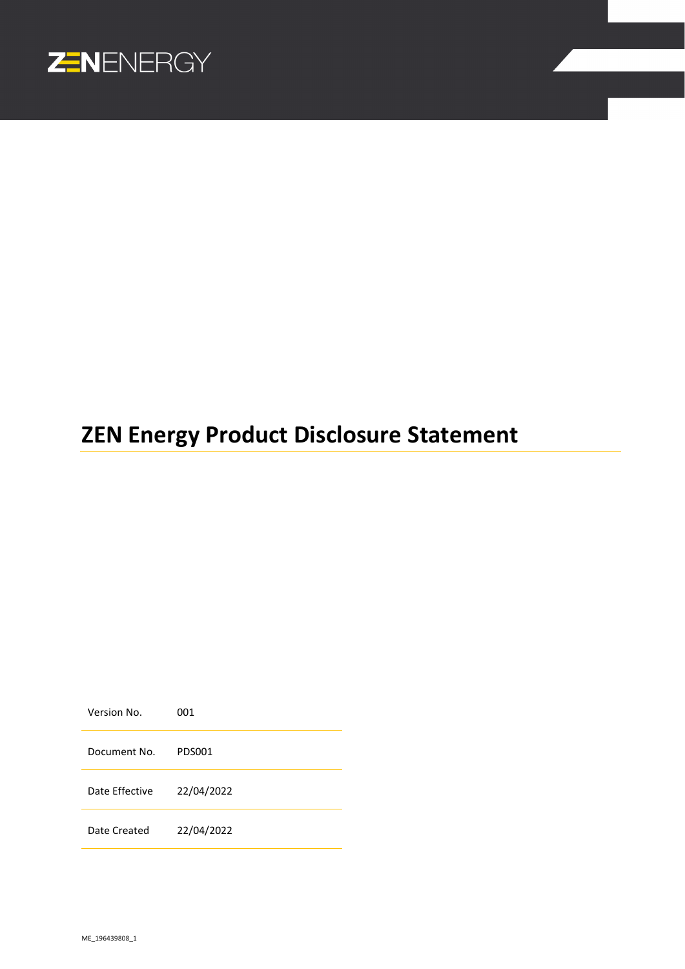

# **ZEN Energy Product Disclosure Statement**

Version No. 001 Document No. PDS001 Date Effective 22/04/2022 Date Created 22/04/2022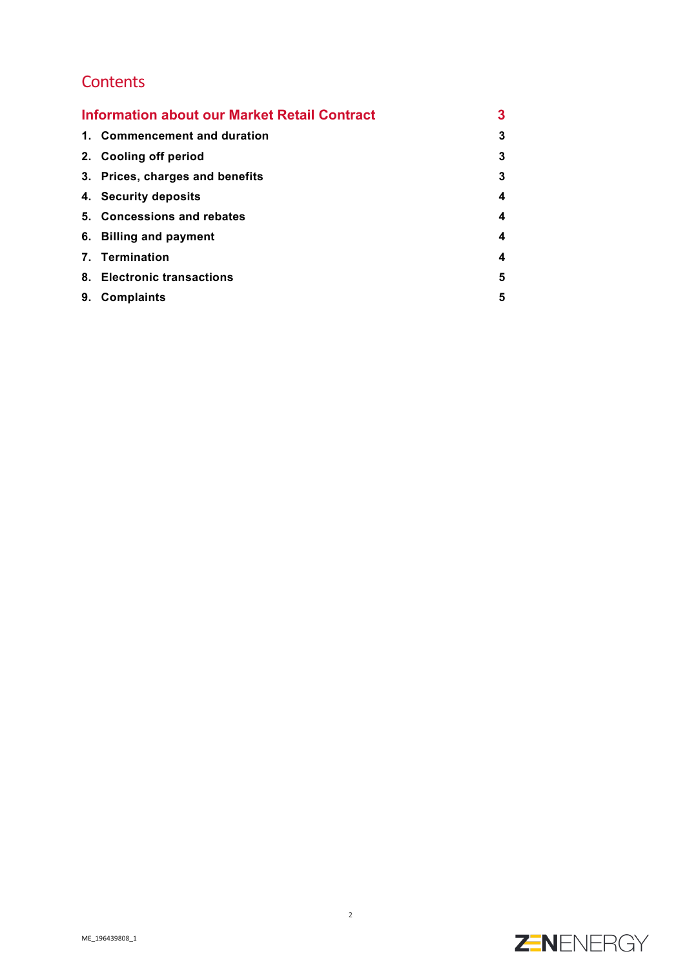## **Contents**

| <b>Information about our Market Retail Contract</b> |                                 | 3 |
|-----------------------------------------------------|---------------------------------|---|
|                                                     | 1. Commencement and duration    | 3 |
|                                                     | 2. Cooling off period           | 3 |
|                                                     | 3. Prices, charges and benefits | 3 |
|                                                     | 4. Security deposits            | 4 |
|                                                     | 5. Concessions and rebates      | 4 |
|                                                     | 6. Billing and payment          | 4 |
|                                                     | 7. Termination                  | 4 |
|                                                     | 8. Electronic transactions      | 5 |
| 9.                                                  | <b>Complaints</b>               | 5 |

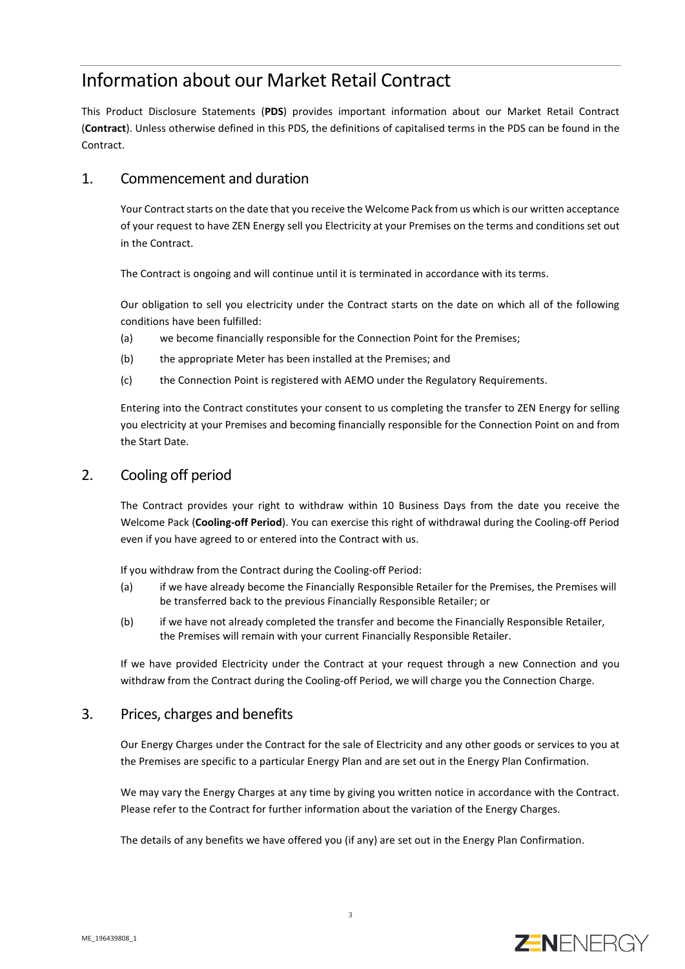# Information about our Market Retail Contract

This Product Disclosure Statements (**PDS**) provides important information about our Market Retail Contract (**Contract**). Unless otherwise defined in this PDS, the definitions of capitalised terms in the PDS can be found in the Contract.

## 1. Commencement and duration

Your Contract starts on the date that you receive the Welcome Pack from us which is our written acceptance of your request to have ZEN Energy sell you Electricity at your Premises on the terms and conditions set out in the Contract.

The Contract is ongoing and will continue until it is terminated in accordance with its terms.

Our obligation to sell you electricity under the Contract starts on the date on which all of the following conditions have been fulfilled:

- (a) we become financially responsible for the Connection Point for the Premises;
- (b) the appropriate Meter has been installed at the Premises; and
- (c) the Connection Point is registered with AEMO under the Regulatory Requirements.

Entering into the Contract constitutes your consent to us completing the transfer to ZEN Energy for selling you electricity at your Premises and becoming financially responsible for the Connection Point on and from the Start Date.

### 2. Cooling off period

The Contract provides your right to withdraw within 10 Business Days from the date you receive the Welcome Pack (**Cooling-off Period**). You can exercise this right of withdrawal during the Cooling-off Period even if you have agreed to or entered into the Contract with us.

If you withdraw from the Contract during the Cooling-off Period:

- (a) if we have already become the Financially Responsible Retailer for the Premises, the Premises will be transferred back to the previous Financially Responsible Retailer; or
- (b) if we have not already completed the transfer and become the Financially Responsible Retailer, the Premises will remain with your current Financially Responsible Retailer.

If we have provided Electricity under the Contract at your request through a new Connection and you withdraw from the Contract during the Cooling-off Period, we will charge you the Connection Charge.

#### 3. Prices, charges and benefits

Our Energy Charges under the Contract for the sale of Electricity and any other goods or services to you at the Premises are specific to a particular Energy Plan and are set out in the Energy Plan Confirmation.

We may vary the Energy Charges at any time by giving you written notice in accordance with the Contract. Please refer to the Contract for further information about the variation of the Energy Charges.

The details of any benefits we have offered you (if any) are set out in the Energy Plan Confirmation.

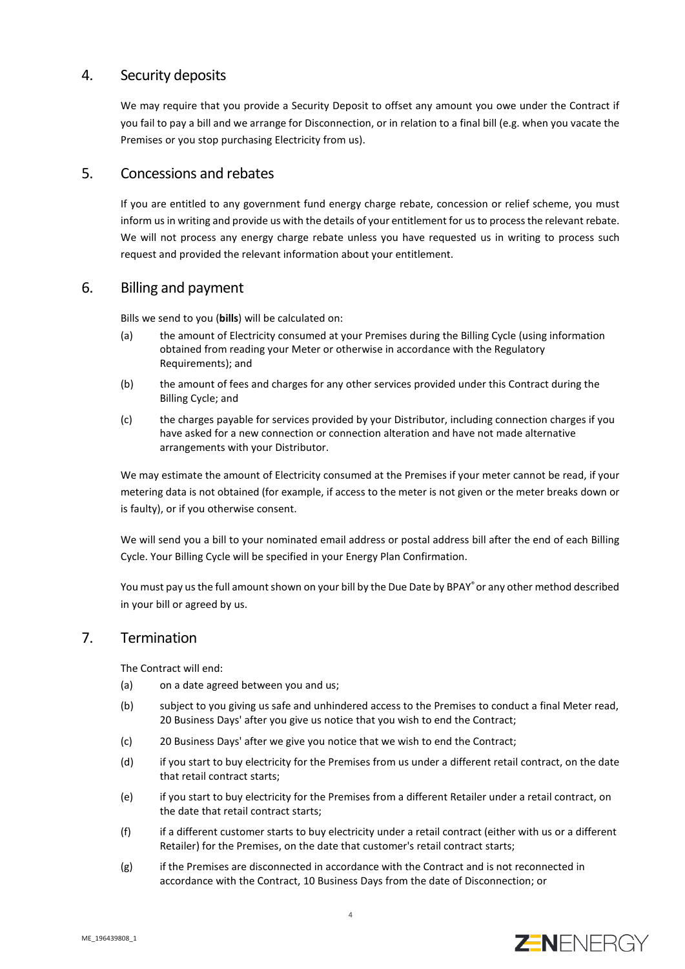### 4. Security deposits

We may require that you provide a Security Deposit to offset any amount you owe under the Contract if you fail to pay a bill and we arrange for Disconnection, or in relation to a final bill (e.g. when you vacate the Premises or you stop purchasing Electricity from us).

#### 5. Concessions and rebates

If you are entitled to any government fund energy charge rebate, concession or relief scheme, you must inform us in writing and provide us with the details of your entitlement for us to process the relevant rebate. We will not process any energy charge rebate unless you have requested us in writing to process such request and provided the relevant information about your entitlement.

#### 6. Billing and payment

Bills we send to you (**bills**) will be calculated on:

- (a) the amount of Electricity consumed at your Premises during the Billing Cycle (using information obtained from reading your Meter or otherwise in accordance with the Regulatory Requirements); and
- (b) the amount of fees and charges for any other services provided under this Contract during the Billing Cycle; and
- (c) the charges payable for services provided by your Distributor, including connection charges if you have asked for a new connection or connection alteration and have not made alternative arrangements with your Distributor.

We may estimate the amount of Electricity consumed at the Premises if your meter cannot be read, if your metering data is not obtained (for example, if access to the meter is not given or the meter breaks down or is faulty), or if you otherwise consent.

We will send you a bill to your nominated email address or postal address bill after the end of each Billing Cycle. Your Billing Cycle will be specified in your Energy Plan Confirmation.

You must pay us the full amount shown on your bill by the Due Date by BPAY® or any other method described in your bill or agreed by us.

#### 7. Termination

The Contract will end:

- (a) on a date agreed between you and us;
- (b) subject to you giving us safe and unhindered access to the Premises to conduct a final Meter read, 20 Business Days' after you give us notice that you wish to end the Contract;
- (c) 20 Business Days' after we give you notice that we wish to end the Contract;
- (d) if you start to buy electricity for the Premises from us under a different retail contract, on the date that retail contract starts;
- (e) if you start to buy electricity for the Premises from a different Retailer under a retail contract, on the date that retail contract starts;
- (f) if a different customer starts to buy electricity under a retail contract (either with us or a different Retailer) for the Premises, on the date that customer's retail contract starts;
- (g) if the Premises are disconnected in accordance with the Contract and is not reconnected in accordance with the Contract, 10 Business Days from the date of Disconnection; or